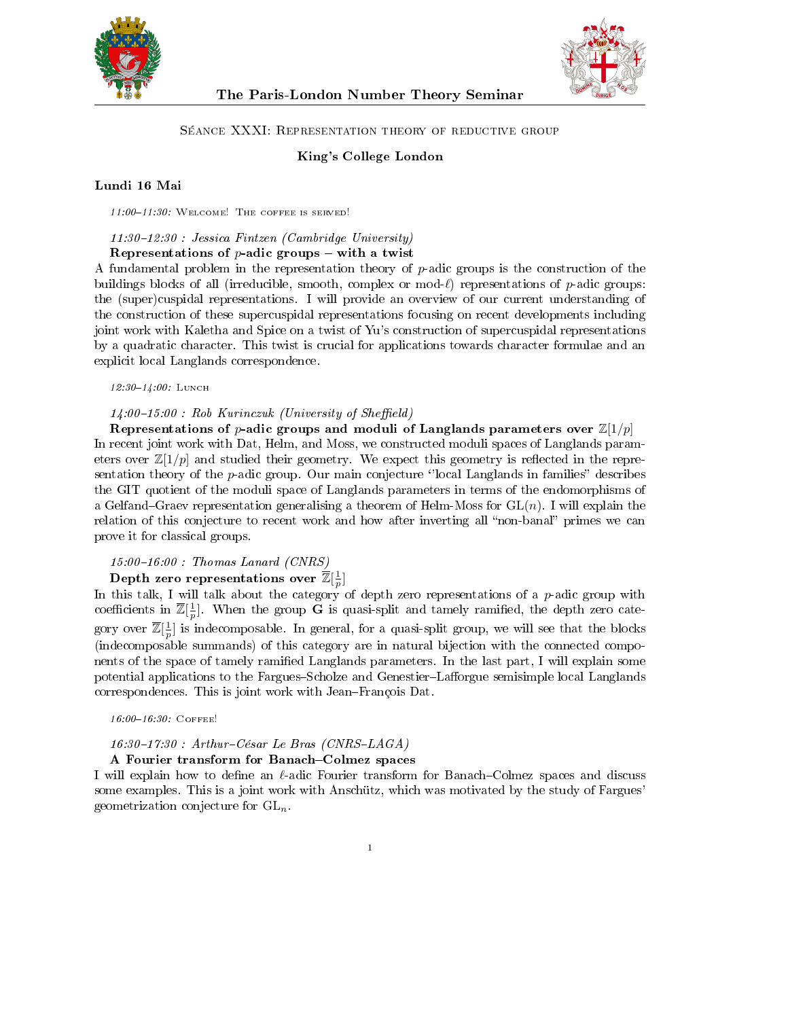

The Paris-London Number Theory Seminar



#### Séance XXXI: Representation theory of reductive group

### King's College London

#### Lundi 16 Mai

 $11:00-11:30$ : WELCOME! THE COFFEE IS SERVED!

 $11:30-12:30$  : Jessica Fintzen (Cambridge University)

Representations of  $p$ -adic groups  $-$  with a twist

A fundamental problem in the representation theory of  $p$ -adic groups is the construction of the buildings blocks of all (irreducible, smooth, complex or mod- $\ell$ ) representations of p-adic groups: the (super)cuspidal representations. I will provide an overview of our current understanding of the construction of these supercuspidal representations focusing on recent developments including joint work with Kaletha and Spice on a twist of Yu's construction of supercuspidal representations by a quadratic character. This twist is crucial for applications towards character formulae and an explicit local Langlands correspondence.

12:30-14:00: LUNCH

 $14:00-15:00$ : Rob Kurinczuk (University of Sheffield)

Representations of p-adic groups and moduli of Langlands parameters over  $\mathbb{Z}[1/p]$ In recent joint work with Dat, Helm, and Moss, we constructed moduli spaces of Langlands parameters over  $\mathbb{Z}[1/p]$  and studied their geometry. We expect this geometry is reflected in the representation theory of the  $p$ -adic group. Our main conjecture  $\Omega$  color Langlands in families describes the GIT quotient of the moduli space of Langlands parameters in terms of the endomorphisms of a Gelfand–Graev representation generalising a theorem of Helm-Moss for  $GL(n)$ . I will explain the relation of this conjecture to recent work and how after inverting all "non-banal" primes we can prove it for classical groups.

#### $15:00-16:00$ : Thomas Lanard (CNRS)

# Depth zero representations over  $\overline{\mathbb{Z}}[\frac{1}{p}]$

In this talk, I will talk about the category of depth zero representations of a  $p$ -adic group with coefficients in  $\overline{\mathbb{Z}}[\frac{1}{p}]$ . When the group G is quasi-split and tamely ramified, the depth zero category over  $\overline{\mathbb{Z}}[\frac{1}{p}]$  is indecomposable. In general, for a quasi-split group, we will see that the blocks (indecomposable summands) of this category are in natural bijection with the connected components of the space of tamely ramified Langlands parameters. In the last part, I will explain some potential applications to the Fargues-Scholze and Genestier-Lafforgue semisimple local Langlands correspondences. This is joint work with Jean-François Dat.

16:00-16:30: COFFEE!

#### $16:30-17:30$ : Arthur-César Le Bras (CNRS-LAGA)

A Fourier transform for Banach–Colmez spaces

I will explain how to define an  $\ell$ -adic Fourier transform for Banach–Colmez spaces and discuss some examples. This is a joint work with Anschütz, which was motivated by the study of Fargues' geometrization conjecture for  $GL_n$ .